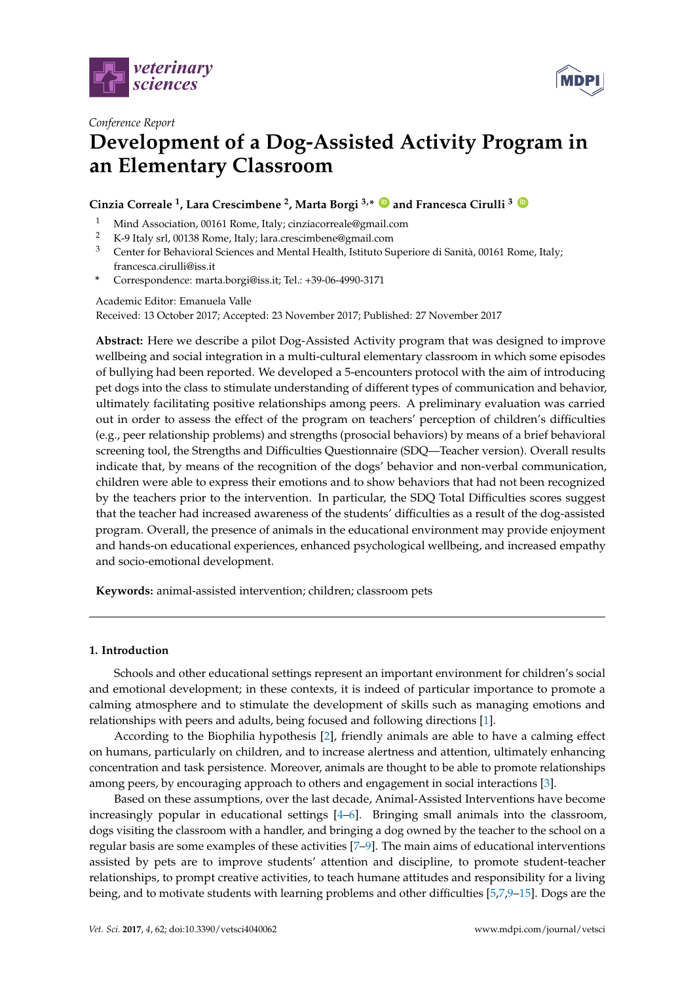



# *Conference Report* **Development of a Dog-Assisted Activity Program in an Elementary Classroom**

# **Cinzia Correale <sup>1</sup> , Lara Crescimbene <sup>2</sup> , Marta Borgi 3,\* [ID](https://orcid.org/0000-0001-7496-6383) and Francesca Cirulli <sup>3</sup> [ID](https://orcid.org/0000-0001-9440-1873)**

- <sup>1</sup> Mind Association, 00161 Rome, Italy; cinziacorreale@gmail.com<br><sup>2</sup> K 0 Italy arl 00128 Bome, Italy; lare areasimbone@gmail.com
- <sup>2</sup> K-9 Italy srl, 00138 Rome, Italy; lara.crescimbene@gmail.com<br><sup>3</sup> Conter for Behavioral Sciences and Montal Health Jetitute St
- <sup>3</sup> Center for Behavioral Sciences and Mental Health, Istituto Superiore di Sanità, 00161 Rome, Italy; francesca.cirulli@iss.it
- **\*** Correspondence: marta.borgi@iss.it; Tel.: +39-06-4990-3171

### Academic Editor: Emanuela Valle

Received: 13 October 2017; Accepted: 23 November 2017; Published: 27 November 2017

**Abstract:** Here we describe a pilot Dog-Assisted Activity program that was designed to improve wellbeing and social integration in a multi-cultural elementary classroom in which some episodes of bullying had been reported. We developed a 5-encounters protocol with the aim of introducing pet dogs into the class to stimulate understanding of different types of communication and behavior, ultimately facilitating positive relationships among peers. A preliminary evaluation was carried out in order to assess the effect of the program on teachers' perception of children's difficulties (e.g., peer relationship problems) and strengths (prosocial behaviors) by means of a brief behavioral screening tool, the Strengths and Difficulties Questionnaire (SDQ—Teacher version). Overall results indicate that, by means of the recognition of the dogs' behavior and non-verbal communication, children were able to express their emotions and to show behaviors that had not been recognized by the teachers prior to the intervention. In particular, the SDQ Total Difficulties scores suggest that the teacher had increased awareness of the students' difficulties as a result of the dog-assisted program. Overall, the presence of animals in the educational environment may provide enjoyment and hands-on educational experiences, enhanced psychological wellbeing, and increased empathy and socio-emotional development.

**Keywords:** animal-assisted intervention; children; classroom pets

## **1. Introduction**

Schools and other educational settings represent an important environment for children's social and emotional development; in these contexts, it is indeed of particular importance to promote a calming atmosphere and to stimulate the development of skills such as managing emotions and relationships with peers and adults, being focused and following directions [\[1\]](#page-4-0).

According to the Biophilia hypothesis [\[2\]](#page-4-1), friendly animals are able to have a calming effect on humans, particularly on children, and to increase alertness and attention, ultimately enhancing concentration and task persistence. Moreover, animals are thought to be able to promote relationships among peers, by encouraging approach to others and engagement in social interactions [\[3\]](#page-4-2).

Based on these assumptions, over the last decade, Animal-Assisted Interventions have become increasingly popular in educational settings [\[4](#page-4-3)[–6\]](#page-5-0). Bringing small animals into the classroom, dogs visiting the classroom with a handler, and bringing a dog owned by the teacher to the school on a regular basis are some examples of these activities [\[7](#page-5-1)[–9\]](#page-5-2). The main aims of educational interventions assisted by pets are to improve students' attention and discipline, to promote student-teacher relationships, to prompt creative activities, to teach humane attitudes and responsibility for a living being, and to motivate students with learning problems and other difficulties [\[5](#page-5-3)[,7](#page-5-1)[,9–](#page-5-2)[15\]](#page-5-4). Dogs are the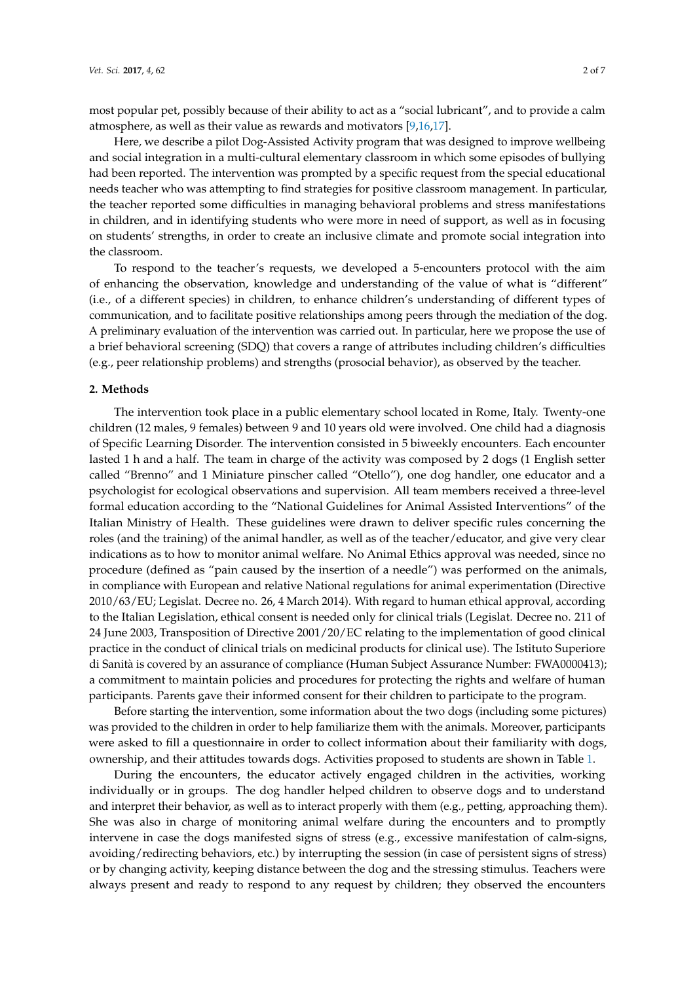most popular pet, possibly because of their ability to act as a "social lubricant", and to provide a calm atmosphere, as well as their value as rewards and motivators [\[9,](#page-5-2)[16](#page-5-5)[,17\]](#page-5-6).

Here, we describe a pilot Dog-Assisted Activity program that was designed to improve wellbeing and social integration in a multi-cultural elementary classroom in which some episodes of bullying had been reported. The intervention was prompted by a specific request from the special educational needs teacher who was attempting to find strategies for positive classroom management. In particular, the teacher reported some difficulties in managing behavioral problems and stress manifestations in children, and in identifying students who were more in need of support, as well as in focusing on students' strengths, in order to create an inclusive climate and promote social integration into the classroom.

To respond to the teacher's requests, we developed a 5-encounters protocol with the aim of enhancing the observation, knowledge and understanding of the value of what is "different" (i.e., of a different species) in children, to enhance children's understanding of different types of communication, and to facilitate positive relationships among peers through the mediation of the dog. A preliminary evaluation of the intervention was carried out. In particular, here we propose the use of a brief behavioral screening (SDQ) that covers a range of attributes including children's difficulties (e.g., peer relationship problems) and strengths (prosocial behavior), as observed by the teacher.

#### **2. Methods**

The intervention took place in a public elementary school located in Rome, Italy. Twenty-one children (12 males, 9 females) between 9 and 10 years old were involved. One child had a diagnosis of Specific Learning Disorder. The intervention consisted in 5 biweekly encounters. Each encounter lasted 1 h and a half. The team in charge of the activity was composed by 2 dogs (1 English setter called "Brenno" and 1 Miniature pinscher called "Otello"), one dog handler, one educator and a psychologist for ecological observations and supervision. All team members received a three-level formal education according to the "National Guidelines for Animal Assisted Interventions" of the Italian Ministry of Health. These guidelines were drawn to deliver specific rules concerning the roles (and the training) of the animal handler, as well as of the teacher/educator, and give very clear indications as to how to monitor animal welfare. No Animal Ethics approval was needed, since no procedure (defined as "pain caused by the insertion of a needle") was performed on the animals, in compliance with European and relative National regulations for animal experimentation (Directive 2010/63/EU; Legislat. Decree no. 26, 4 March 2014). With regard to human ethical approval, according to the Italian Legislation, ethical consent is needed only for clinical trials (Legislat. Decree no. 211 of 24 June 2003, Transposition of Directive 2001/20/EC relating to the implementation of good clinical practice in the conduct of clinical trials on medicinal products for clinical use). The Istituto Superiore di Sanità is covered by an assurance of compliance (Human Subject Assurance Number: FWA0000413); a commitment to maintain policies and procedures for protecting the rights and welfare of human participants. Parents gave their informed consent for their children to participate to the program.

Before starting the intervention, some information about the two dogs (including some pictures) was provided to the children in order to help familiarize them with the animals. Moreover, participants were asked to fill a questionnaire in order to collect information about their familiarity with dogs, ownership, and their attitudes towards dogs. Activities proposed to students are shown in Table [1.](#page-2-0)

During the encounters, the educator actively engaged children in the activities, working individually or in groups. The dog handler helped children to observe dogs and to understand and interpret their behavior, as well as to interact properly with them (e.g., petting, approaching them). She was also in charge of monitoring animal welfare during the encounters and to promptly intervene in case the dogs manifested signs of stress (e.g., excessive manifestation of calm-signs, avoiding/redirecting behaviors, etc.) by interrupting the session (in case of persistent signs of stress) or by changing activity, keeping distance between the dog and the stressing stimulus. Teachers were always present and ready to respond to any request by children; they observed the encounters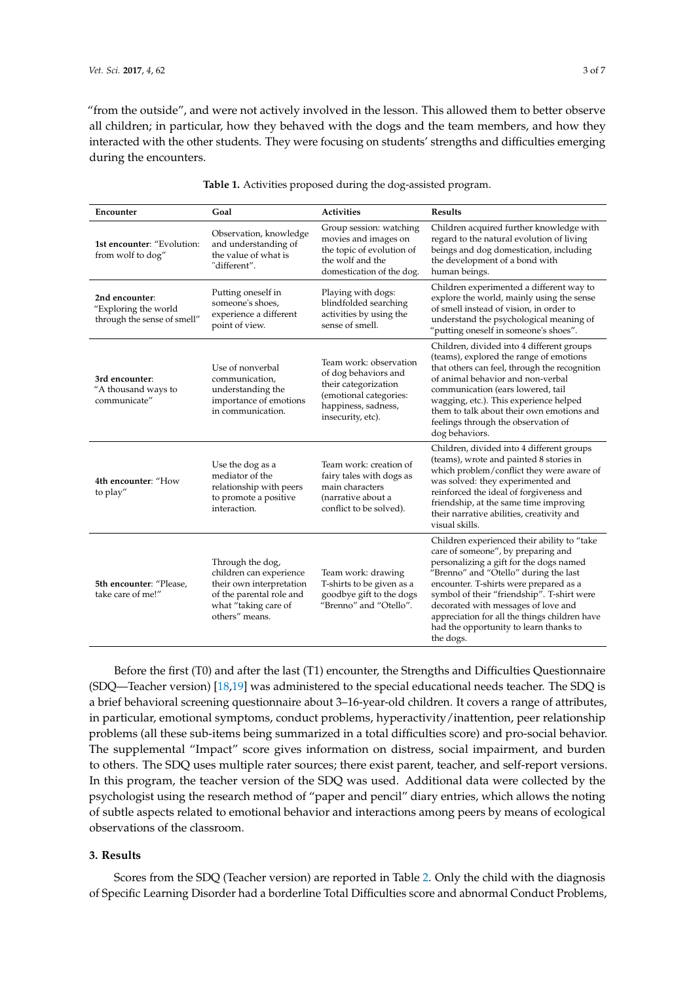"from the outside", and were not actively involved in the lesson. This allowed them to better observe all children; in particular, how they behaved with the dogs and the team members, and how they interacted with the other students. They were focusing on students' strengths and difficulties emerging during the encounters.

<span id="page-2-0"></span>

| Encounter                                                             | Goal                                                                                                                                          | <b>Activities</b>                                                                                                                            | <b>Results</b>                                                                                                                                                                                                                                                                                                                                                                                               |  |  |  |  |
|-----------------------------------------------------------------------|-----------------------------------------------------------------------------------------------------------------------------------------------|----------------------------------------------------------------------------------------------------------------------------------------------|--------------------------------------------------------------------------------------------------------------------------------------------------------------------------------------------------------------------------------------------------------------------------------------------------------------------------------------------------------------------------------------------------------------|--|--|--|--|
| 1st encounter: "Evolution:<br>from wolf to dog"                       | Observation, knowledge<br>and understanding of<br>the value of what is<br>"different".                                                        | Group session: watching<br>movies and images on<br>the topic of evolution of<br>the wolf and the<br>domestication of the dog.                | Children acquired further knowledge with<br>regard to the natural evolution of living<br>beings and dog domestication, including<br>the development of a bond with<br>human beings.                                                                                                                                                                                                                          |  |  |  |  |
| 2nd encounter:<br>"Exploring the world<br>through the sense of smell" | Putting oneself in<br>someone's shoes,<br>experience a different<br>point of view.                                                            | Playing with dogs:<br>blindfolded searching<br>activities by using the<br>sense of smell.                                                    | Children experimented a different way to<br>explore the world, mainly using the sense<br>of smell instead of vision, in order to<br>understand the psychological meaning of<br>"putting oneself in someone's shoes".                                                                                                                                                                                         |  |  |  |  |
| 3rd encounter:<br>"A thousand ways to<br>communicate"                 | Use of nonverbal<br>communication,<br>understanding the<br>importance of emotions<br>in communication.                                        | Team work: observation<br>of dog behaviors and<br>their categorization<br>(emotional categories:<br>happiness, sadness,<br>insecurity, etc). | Children, divided into 4 different groups<br>(teams), explored the range of emotions<br>that others can feel, through the recognition<br>of animal behavior and non-verbal<br>communication (ears lowered, tail<br>wagging, etc.). This experience helped<br>them to talk about their own emotions and<br>feelings through the observation of<br>dog behaviors.                                              |  |  |  |  |
| 4th encounter: "How<br>to play"                                       | Use the dog as a<br>mediator of the<br>relationship with peers<br>to promote a positive<br>interaction.                                       | Team work: creation of<br>fairy tales with dogs as<br>main characters<br>(narrative about a<br>conflict to be solved).                       | Children, divided into 4 different groups<br>(teams), wrote and painted 8 stories in<br>which problem/conflict they were aware of<br>was solved: they experimented and<br>reinforced the ideal of forgiveness and<br>friendship, at the same time improving<br>their narrative abilities, creativity and<br>visual skills.                                                                                   |  |  |  |  |
| 5th encounter: "Please,<br>take care of me!"                          | Through the dog,<br>children can experience<br>their own interpretation<br>of the parental role and<br>what "taking care of<br>others" means. | Team work: drawing<br>T-shirts to be given as a<br>goodbye gift to the dogs<br>"Brenno" and "Otello".                                        | Children experienced their ability to "take<br>care of someone", by preparing and<br>personalizing a gift for the dogs named<br>"Brenno" and "Otello" during the last<br>encounter. T-shirts were prepared as a<br>symbol of their "friendship". T-shirt were<br>decorated with messages of love and<br>appreciation for all the things children have<br>had the opportunity to learn thanks to<br>the dogs. |  |  |  |  |

| Table 1. Activities proposed during the dog-assisted program. |
|---------------------------------------------------------------|
|---------------------------------------------------------------|

Before the first (T0) and after the last (T1) encounter, the Strengths and Difficulties Questionnaire (SDQ—Teacher version) [\[18](#page-5-7)[,19\]](#page-5-8) was administered to the special educational needs teacher. The SDQ is a brief behavioral screening questionnaire about 3–16-year-old children. It covers a range of attributes, in particular, emotional symptoms, conduct problems, hyperactivity/inattention, peer relationship problems (all these sub-items being summarized in a total difficulties score) and pro-social behavior. The supplemental "Impact" score gives information on distress, social impairment, and burden to others. The SDQ uses multiple rater sources; there exist parent, teacher, and self-report versions. In this program, the teacher version of the SDQ was used. Additional data were collected by the psychologist using the research method of "paper and pencil" diary entries, which allows the noting of subtle aspects related to emotional behavior and interactions among peers by means of ecological observations of the classroom.

#### **3. Results**

Scores from the SDQ (Teacher version) are reported in Table [2.](#page-3-0) Only the child with the diagnosis of Specific Learning Disorder had a borderline Total Difficulties score and abnormal Conduct Problems,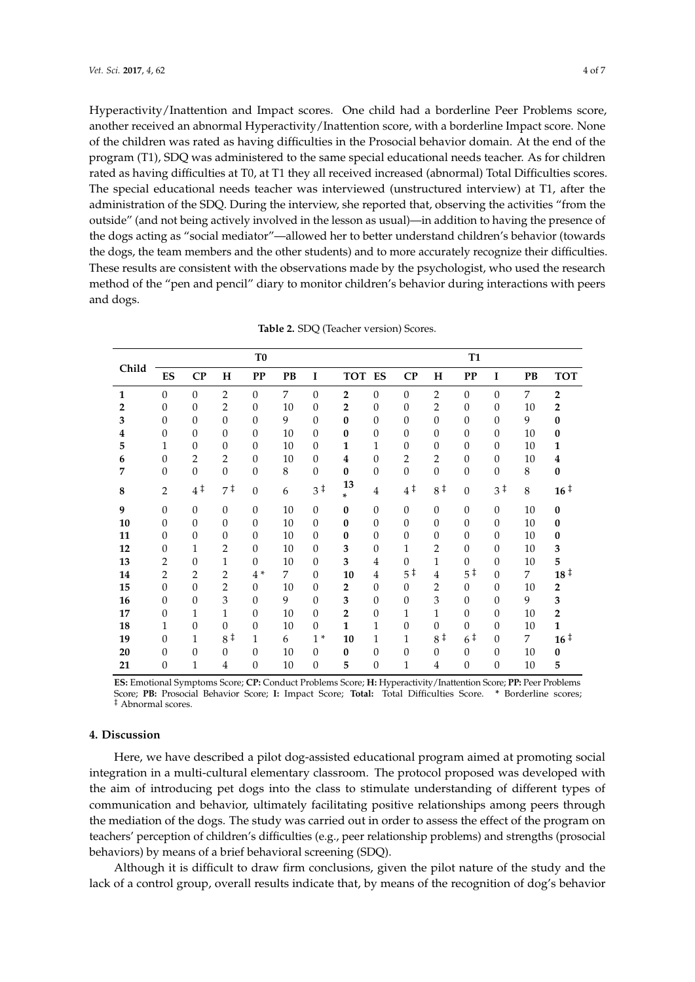Hyperactivity/Inattention and Impact scores. One child had a borderline Peer Problems score, another received an abnormal Hyperactivity/Inattention score, with a borderline Impact score. None of the children was rated as having difficulties in the Prosocial behavior domain. At the end of the program (T1), SDQ was administered to the same special educational needs teacher. As for children rated as having difficulties at T0, at T1 they all received increased (abnormal) Total Difficulties scores. The special educational needs teacher was interviewed (unstructured interview) at T1, after the administration of the SDQ. During the interview, she reported that, observing the activities "from the outside" (and not being actively involved in the lesson as usual)—in addition to having the presence of the dogs acting as "social mediator"—allowed her to better understand children's behavior (towards the dogs, the team members and the other students) and to more accurately recognize their difficulties. These results are consistent with the observations made by the psychologist, who used the research method of the "pen and pencil" diary to monitor children's behavior during interactions with peers and dogs.

<span id="page-3-0"></span>

|       |                |                |                   | T <sub>0</sub> |    |                |                         |                |                  |                | <b>T1</b>         |                |    |                 |
|-------|----------------|----------------|-------------------|----------------|----|----------------|-------------------------|----------------|------------------|----------------|-------------------|----------------|----|-----------------|
| Child | ES             | CP             | H                 | <b>PP</b>      | PB | $\bf{I}$       | TOT ES                  |                | CP               | H              | <b>PP</b>         | I              | PB | <b>TOT</b>      |
| 1     | $\Omega$       | $\theta$       | $\overline{2}$    | $\Omega$       | 7  | $\theta$       | $\overline{2}$          | $\Omega$       | $\Omega$         | $\overline{2}$ | $\Omega$          | $\Omega$       | 7  | $\overline{2}$  |
| 2     | $\theta$       | $\theta$       | $\overline{2}$    | $\theta$       | 10 | $\theta$       | $\overline{2}$          | $\theta$       | $\theta$         | $\overline{2}$ | 0                 | $\theta$       | 10 | $\overline{2}$  |
| 3     | $\theta$       | $\theta$       | $\theta$          | $\Omega$       | 9  | $\mathbf{0}$   | $\bf{0}$                | $\theta$       | $\theta$         | $\mathbf{0}$   | $\mathbf{0}$      | $\Omega$       | 9  | $\bf{0}$        |
| 4     | $\theta$       | $\theta$       | $\theta$          | $\theta$       | 10 | $\mathbf{0}$   | $\bf{0}$                | $\theta$       | $\theta$         | $\mathbf{0}$   | 0                 | $\theta$       | 10 | $\bf{0}$        |
| 5     | 1              | $\theta$       | $\theta$          | $\Omega$       | 10 | $\theta$       | 1                       | 1              | $\theta$         | $\theta$       | 0                 | $\Omega$       | 10 | 1               |
| 6     | $\theta$       | $\overline{2}$ | $\overline{2}$    | $\theta$       | 10 | $\mathbf{0}$   | $\overline{\mathbf{4}}$ | $\theta$       | $\overline{2}$   | $\overline{2}$ | 0                 | $\Omega$       | 10 | 4               |
| 7     | $\Omega$       | $\overline{0}$ | $\overline{0}$    | $\Omega$       | 8  | $\Omega$       | $\bf{0}$                | $\theta$       | $\boldsymbol{0}$ | $\theta$       | 0                 | $\Omega$       | 8  | $\bf{0}$        |
| 8     | $\overline{2}$ | $4^{\ddagger}$ | $7^{\frac{1}{4}}$ | $\theta$       | 6  | $3^{\ddagger}$ | 13<br>×.                | 4              | 4‡               | 8 <sup>†</sup> | $\theta$          | 3 <sup>†</sup> | 8  | $16 \nmid$      |
| 9     | $\Omega$       | $\mathbf{0}$   | $\theta$          | $\theta$       | 10 | $\theta$       | $\bf{0}$                | $\theta$       | $\theta$         | $\theta$       | $\theta$          | $\Omega$       | 10 | $\bf{0}$        |
| 10    | $\Omega$       | $\theta$       | $\theta$          | $\Omega$       | 10 | $\Omega$       | $\bf{0}$                | $\Omega$       | $\theta$         | $\theta$       | $\theta$          | $\Omega$       | 10 | $\mathbf{0}$    |
| 11    | $\Omega$       | $\theta$       | $\theta$          | $\theta$       | 10 | $\theta$       | $\bf{0}$                | $\Omega$       | $\theta$         | $\Omega$       | $\theta$          | $\Omega$       | 10 | $\bf{0}$        |
| 12    | $\theta$       | 1              | $\overline{2}$    | $\theta$       | 10 | $\theta$       | 3                       | $\Omega$       | $\mathbf 1$      | $\overline{2}$ | $\theta$          | $\Omega$       | 10 | 3               |
| 13    | $\mathbf{2}$   | $\theta$       | $\mathbf{1}$      | $\Omega$       | 10 | $\theta$       | 3                       | $\overline{4}$ | $\Omega$         | 1              | $\Omega$          | $\Omega$       | 10 | 5               |
| 14    | $\overline{2}$ | $\overline{2}$ | $\overline{2}$    | $4*$           | 7  | $\theta$       | 10                      | $\overline{4}$ | $5^{\ddagger}$   | $\overline{4}$ | $5^{\frac{1}{4}}$ | $\Omega$       | 7  | 18 <sup>†</sup> |
| 15    | $\Omega$       | $\Omega$       | $\overline{2}$    | $\theta$       | 10 | $\mathbf{0}$   | $\overline{2}$          | $\Omega$       | $\theta$         | $\overline{2}$ | $\theta$          | $\Omega$       | 10 | $\overline{2}$  |
| 16    | $\Omega$       | $\theta$       | 3                 | $\Omega$       | 9  | $\theta$       | 3                       | $\Omega$       | $\Omega$         | 3              | $\theta$          | $\Omega$       | 9  | 3               |
| 17    | $\Omega$       | $\mathbf{1}$   | 1                 | $\theta$       | 10 | $\mathbf{0}$   | $\overline{2}$          | $\theta$       | 1                | 1              | $\theta$          | $\Omega$       | 10 | $\overline{2}$  |
| 18    | 1              | $\theta$       | $\theta$          | $\Omega$       | 10 | $\theta$       | 1                       | 1              | $\theta$         | $\theta$       | $\theta$          | $\Omega$       | 10 | $\mathbf{1}$    |
| 19    | $\theta$       | 1              | 8 <sup>†</sup>    | $\mathbf{1}$   | 6  | $1*$           | 10                      | 1              | 1                | 8 <sup>†</sup> | 6 <sup>‡</sup>    | $\Omega$       | 7  | $16 \nmid$      |
| 20    | $\theta$       | $\theta$       | $\theta$          | $\theta$       | 10 | $\theta$       | $\bf{0}$                | 0              | $\theta$         | $\mathbf{0}$   | $\theta$          | $\theta$       | 10 | $\bf{0}$        |
| 21    | $\Omega$       | 1              | 4                 | $\Omega$       | 10 | $\Omega$       | 5                       | $\Omega$       | 1                | 4              | $\Omega$          | $\Omega$       | 10 | 5               |

**Table 2.** SDQ (Teacher version) Scores.

**ES:** Emotional Symptoms Score; **CP:** Conduct Problems Score; **H:** Hyperactivity/Inattention Score; **PP:** Peer Problems Score; **PB:** Prosocial Behavior Score; **I:** Impact Score; **Total:** Total Difficulties Score. **\*** Borderline scores; ‡ Abnormal scores.

#### **4. Discussion**

Here, we have described a pilot dog-assisted educational program aimed at promoting social integration in a multi-cultural elementary classroom. The protocol proposed was developed with the aim of introducing pet dogs into the class to stimulate understanding of different types of communication and behavior, ultimately facilitating positive relationships among peers through the mediation of the dogs. The study was carried out in order to assess the effect of the program on teachers' perception of children's difficulties (e.g., peer relationship problems) and strengths (prosocial behaviors) by means of a brief behavioral screening (SDQ).

Although it is difficult to draw firm conclusions, given the pilot nature of the study and the lack of a control group, overall results indicate that, by means of the recognition of dog's behavior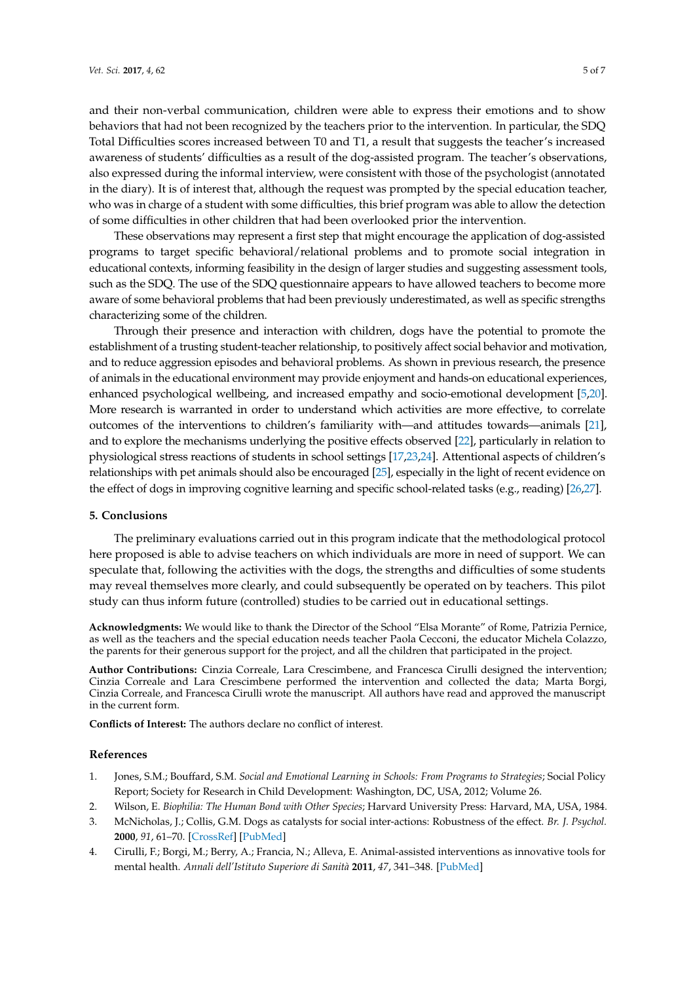and their non-verbal communication, children were able to express their emotions and to show behaviors that had not been recognized by the teachers prior to the intervention. In particular, the SDQ Total Difficulties scores increased between T0 and T1, a result that suggests the teacher's increased awareness of students' difficulties as a result of the dog-assisted program. The teacher's observations, also expressed during the informal interview, were consistent with those of the psychologist (annotated in the diary). It is of interest that, although the request was prompted by the special education teacher, who was in charge of a student with some difficulties, this brief program was able to allow the detection of some difficulties in other children that had been overlooked prior the intervention.

These observations may represent a first step that might encourage the application of dog-assisted programs to target specific behavioral/relational problems and to promote social integration in educational contexts, informing feasibility in the design of larger studies and suggesting assessment tools, such as the SDQ. The use of the SDQ questionnaire appears to have allowed teachers to become more aware of some behavioral problems that had been previously underestimated, as well as specific strengths characterizing some of the children.

Through their presence and interaction with children, dogs have the potential to promote the establishment of a trusting student-teacher relationship, to positively affect social behavior and motivation, and to reduce aggression episodes and behavioral problems. As shown in previous research, the presence of animals in the educational environment may provide enjoyment and hands-on educational experiences, enhanced psychological wellbeing, and increased empathy and socio-emotional development [\[5,](#page-5-3)[20\]](#page-5-9). More research is warranted in order to understand which activities are more effective, to correlate outcomes of the interventions to children's familiarity with—and attitudes towards—animals [\[21\]](#page-5-10), and to explore the mechanisms underlying the positive effects observed [\[22\]](#page-5-11), particularly in relation to physiological stress reactions of students in school settings [\[17](#page-5-6)[,23](#page-5-12)[,24\]](#page-5-13). Attentional aspects of children's relationships with pet animals should also be encouraged [\[25\]](#page-5-14), especially in the light of recent evidence on the effect of dogs in improving cognitive learning and specific school-related tasks (e.g., reading) [\[26](#page-6-0)[,27\]](#page-6-1).

#### **5. Conclusions**

The preliminary evaluations carried out in this program indicate that the methodological protocol here proposed is able to advise teachers on which individuals are more in need of support. We can speculate that, following the activities with the dogs, the strengths and difficulties of some students may reveal themselves more clearly, and could subsequently be operated on by teachers. This pilot study can thus inform future (controlled) studies to be carried out in educational settings.

**Acknowledgments:** We would like to thank the Director of the School "Elsa Morante" of Rome, Patrizia Pernice, as well as the teachers and the special education needs teacher Paola Cecconi, the educator Michela Colazzo, the parents for their generous support for the project, and all the children that participated in the project.

**Author Contributions:** Cinzia Correale, Lara Crescimbene, and Francesca Cirulli designed the intervention; Cinzia Correale and Lara Crescimbene performed the intervention and collected the data; Marta Borgi, Cinzia Correale, and Francesca Cirulli wrote the manuscript. All authors have read and approved the manuscript in the current form.

**Conflicts of Interest:** The authors declare no conflict of interest.

#### **References**

- <span id="page-4-0"></span>1. Jones, S.M.; Bouffard, S.M. *Social and Emotional Learning in Schools: From Programs to Strategies*; Social Policy Report; Society for Research in Child Development: Washington, DC, USA, 2012; Volume 26.
- <span id="page-4-1"></span>2. Wilson, E. *Biophilia: The Human Bond with Other Species*; Harvard University Press: Harvard, MA, USA, 1984.
- <span id="page-4-2"></span>3. McNicholas, J.; Collis, G.M. Dogs as catalysts for social inter-actions: Robustness of the effect. *Br. J. Psychol.* **2000**, *91*, 61–70. [\[CrossRef\]](http://dx.doi.org/10.1348/000712600161673) [\[PubMed\]](http://www.ncbi.nlm.nih.gov/pubmed/10717771)
- <span id="page-4-3"></span>4. Cirulli, F.; Borgi, M.; Berry, A.; Francia, N.; Alleva, E. Animal-assisted interventions as innovative tools for mental health. *Annali dell'Istituto Superiore di Sanità* **2011**, *47*, 341–348. [\[PubMed\]](http://www.ncbi.nlm.nih.gov/pubmed/22194067)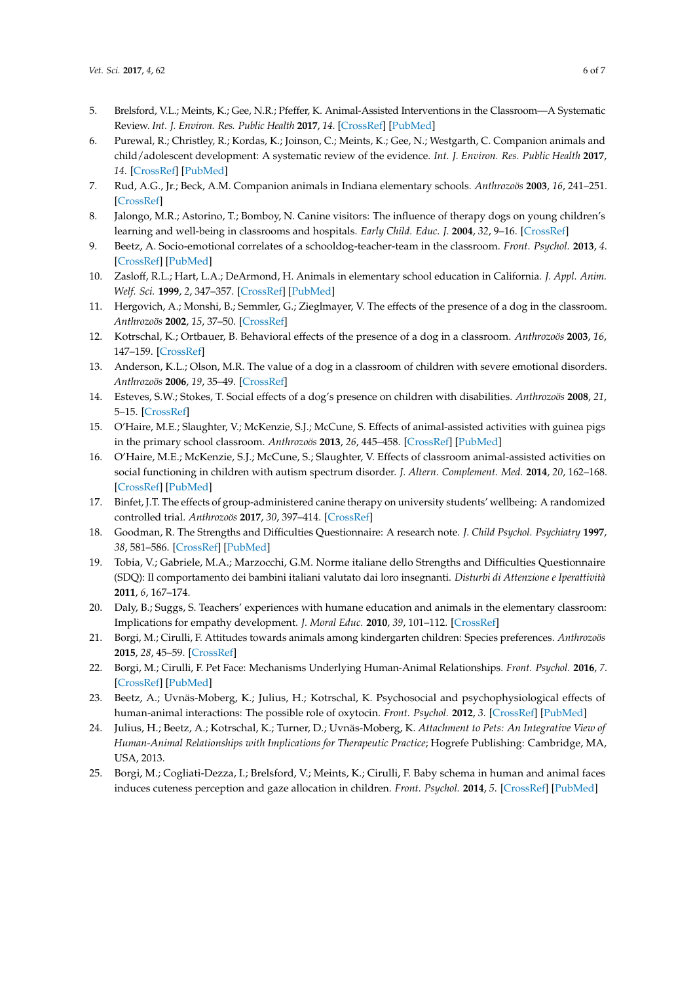- <span id="page-5-3"></span>5. Brelsford, V.L.; Meints, K.; Gee, N.R.; Pfeffer, K. Animal-Assisted Interventions in the Classroom—A Systematic Review. *Int. J. Environ. Res. Public Health* **2017**, *14*. [\[CrossRef\]](http://dx.doi.org/10.3390/ijerph14070669) [\[PubMed\]](http://www.ncbi.nlm.nih.gov/pubmed/28640200)
- <span id="page-5-0"></span>6. Purewal, R.; Christley, R.; Kordas, K.; Joinson, C.; Meints, K.; Gee, N.; Westgarth, C. Companion animals and child/adolescent development: A systematic review of the evidence. *Int. J. Environ. Res. Public Health* **2017**, *14*. [\[CrossRef\]](http://dx.doi.org/10.3390/ijerph14030234) [\[PubMed\]](http://www.ncbi.nlm.nih.gov/pubmed/28264460)
- <span id="page-5-1"></span>7. Rud, A.G., Jr.; Beck, A.M. Companion animals in Indiana elementary schools. *Anthrozoös* **2003**, *16*, 241–251. [\[CrossRef\]](http://dx.doi.org/10.2752/089279303786992134)
- 8. Jalongo, M.R.; Astorino, T.; Bomboy, N. Canine visitors: The influence of therapy dogs on young children's learning and well-being in classrooms and hospitals. *Early Child. Educ. J.* **2004**, *32*, 9–16. [\[CrossRef\]](http://dx.doi.org/10.1023/B:ECEJ.0000039638.60714.5f)
- <span id="page-5-2"></span>9. Beetz, A. Socio-emotional correlates of a schooldog-teacher-team in the classroom. *Front. Psychol.* **2013**, *4*. [\[CrossRef\]](http://dx.doi.org/10.3389/fpsyg.2013.00886) [\[PubMed\]](http://www.ncbi.nlm.nih.gov/pubmed/24348440)
- 10. Zasloff, R.L.; Hart, L.A.; DeArmond, H. Animals in elementary school education in California. *J. Appl. Anim. Welf. Sci.* **1999**, *2*, 347–357. [\[CrossRef\]](http://dx.doi.org/10.1207/s15327604jaws0204_8) [\[PubMed\]](http://www.ncbi.nlm.nih.gov/pubmed/16363938)
- 11. Hergovich, A.; Monshi, B.; Semmler, G.; Zieglmayer, V. The effects of the presence of a dog in the classroom. *Anthrozoös* **2002**, *15*, 37–50. [\[CrossRef\]](http://dx.doi.org/10.2752/089279302786992775)
- 12. Kotrschal, K.; Ortbauer, B. Behavioral effects of the presence of a dog in a classroom. *Anthrozoös* **2003**, *16*, 147–159. [\[CrossRef\]](http://dx.doi.org/10.2752/089279303786992170)
- 13. Anderson, K.L.; Olson, M.R. The value of a dog in a classroom of children with severe emotional disorders. *Anthrozoös* **2006**, *19*, 35–49. [\[CrossRef\]](http://dx.doi.org/10.2752/089279306785593919)
- 14. Esteves, S.W.; Stokes, T. Social effects of a dog's presence on children with disabilities. *Anthrozoös* **2008**, *21*, 5–15. [\[CrossRef\]](http://dx.doi.org/10.2752/089279308X274029)
- <span id="page-5-4"></span>15. O'Haire, M.E.; Slaughter, V.; McKenzie, S.J.; McCune, S. Effects of animal-assisted activities with guinea pigs in the primary school classroom. *Anthrozoös* **2013**, *26*, 445–458. [\[CrossRef\]](http://dx.doi.org/10.2752/175303713X13697429463835) [\[PubMed\]](http://www.ncbi.nlm.nih.gov/pubmed/24265514)
- <span id="page-5-5"></span>16. O'Haire, M.E.; McKenzie, S.J.; McCune, S.; Slaughter, V. Effects of classroom animal-assisted activities on social functioning in children with autism spectrum disorder. *J. Altern. Complement. Med.* **2014**, *20*, 162–168. [\[CrossRef\]](http://dx.doi.org/10.1089/acm.2013.0165) [\[PubMed\]](http://www.ncbi.nlm.nih.gov/pubmed/24156772)
- <span id="page-5-6"></span>17. Binfet, J.T. The effects of group-administered canine therapy on university students' wellbeing: A randomized controlled trial. *Anthrozoös* **2017**, *30*, 397–414. [\[CrossRef\]](http://dx.doi.org/10.1080/08927936.2017.1335097)
- <span id="page-5-7"></span>18. Goodman, R. The Strengths and Difficulties Questionnaire: A research note. *J. Child Psychol. Psychiatry* **1997**, *38*, 581–586. [\[CrossRef\]](http://dx.doi.org/10.1111/j.1469-7610.1997.tb01545.x) [\[PubMed\]](http://www.ncbi.nlm.nih.gov/pubmed/9255702)
- <span id="page-5-8"></span>19. Tobia, V.; Gabriele, M.A.; Marzocchi, G.M. Norme italiane dello Strengths and Difficulties Questionnaire (SDQ): Il comportamento dei bambini italiani valutato dai loro insegnanti. *Disturbi di Attenzione e Iperattività* **2011**, *6*, 167–174.
- <span id="page-5-9"></span>20. Daly, B.; Suggs, S. Teachers' experiences with humane education and animals in the elementary classroom: Implications for empathy development. *J. Moral Educ.* **2010**, *39*, 101–112. [\[CrossRef\]](http://dx.doi.org/10.1080/03057240903528733)
- <span id="page-5-10"></span>21. Borgi, M.; Cirulli, F. Attitudes towards animals among kindergarten children: Species preferences. *Anthrozoös* **2015**, *28*, 45–59. [\[CrossRef\]](http://dx.doi.org/10.2752/089279315X14129350721939)
- <span id="page-5-11"></span>22. Borgi, M.; Cirulli, F. Pet Face: Mechanisms Underlying Human-Animal Relationships. *Front. Psychol.* **2016**, *7*. [\[CrossRef\]](http://dx.doi.org/10.3389/fpsyg.2016.00298) [\[PubMed\]](http://www.ncbi.nlm.nih.gov/pubmed/27014120)
- <span id="page-5-12"></span>23. Beetz, A.; Uvnäs-Moberg, K.; Julius, H.; Kotrschal, K. Psychosocial and psychophysiological effects of human-animal interactions: The possible role of oxytocin. *Front. Psychol.* **2012**, *3*. [\[CrossRef\]](http://dx.doi.org/10.3389/fpsyg.2012.00234) [\[PubMed\]](http://www.ncbi.nlm.nih.gov/pubmed/22866043)
- <span id="page-5-13"></span>24. Julius, H.; Beetz, A.; Kotrschal, K.; Turner, D.; Uvnäs-Moberg, K. *Attachment to Pets: An Integrative View of Human-Animal Relationships with Implications for Therapeutic Practice*; Hogrefe Publishing: Cambridge, MA, USA, 2013.
- <span id="page-5-14"></span>25. Borgi, M.; Cogliati-Dezza, I.; Brelsford, V.; Meints, K.; Cirulli, F. Baby schema in human and animal faces induces cuteness perception and gaze allocation in children. *Front. Psychol.* **2014**, *5*. [\[CrossRef\]](http://dx.doi.org/10.3389/fpsyg.2014.00411) [\[PubMed\]](http://www.ncbi.nlm.nih.gov/pubmed/24847305)